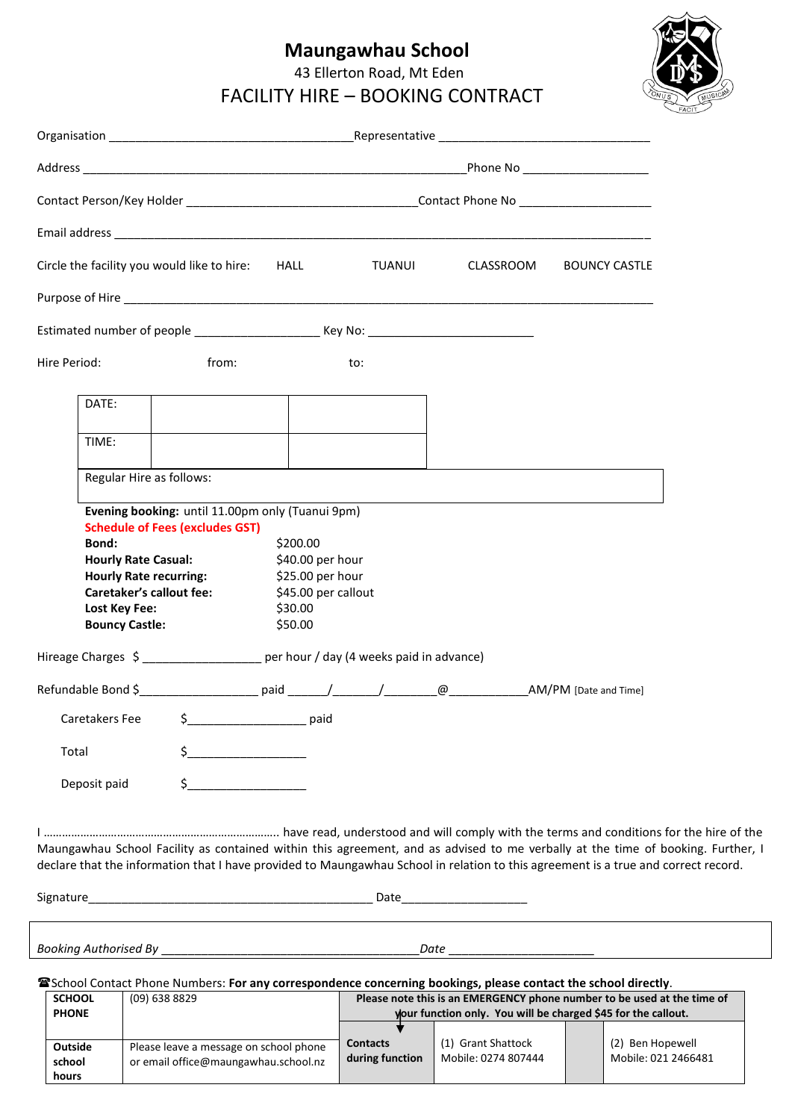# **Maungawhau School**

43 Ellerton Road, Mt Eden

FACILITY HIRE – BOOKING CONTRACT



| <b>SCHOOL</b><br><b>PHONE</b> | $(09)$ 638 8829                                                                | Please note this is an EMERGENCY phone number to be used at the time of<br>your function only. You will be charged \$45 for the callout. |                                           |                                         |
|-------------------------------|--------------------------------------------------------------------------------|------------------------------------------------------------------------------------------------------------------------------------------|-------------------------------------------|-----------------------------------------|
| Outside<br>school<br>hours    | Please leave a message on school phone<br>or email office@maungawhau.school.nz | <b>Contacts</b><br>during function                                                                                                       | (1) Grant Shattock<br>Mobile: 0274 807444 | (2) Ben Hopewell<br>Mobile: 021 2466481 |

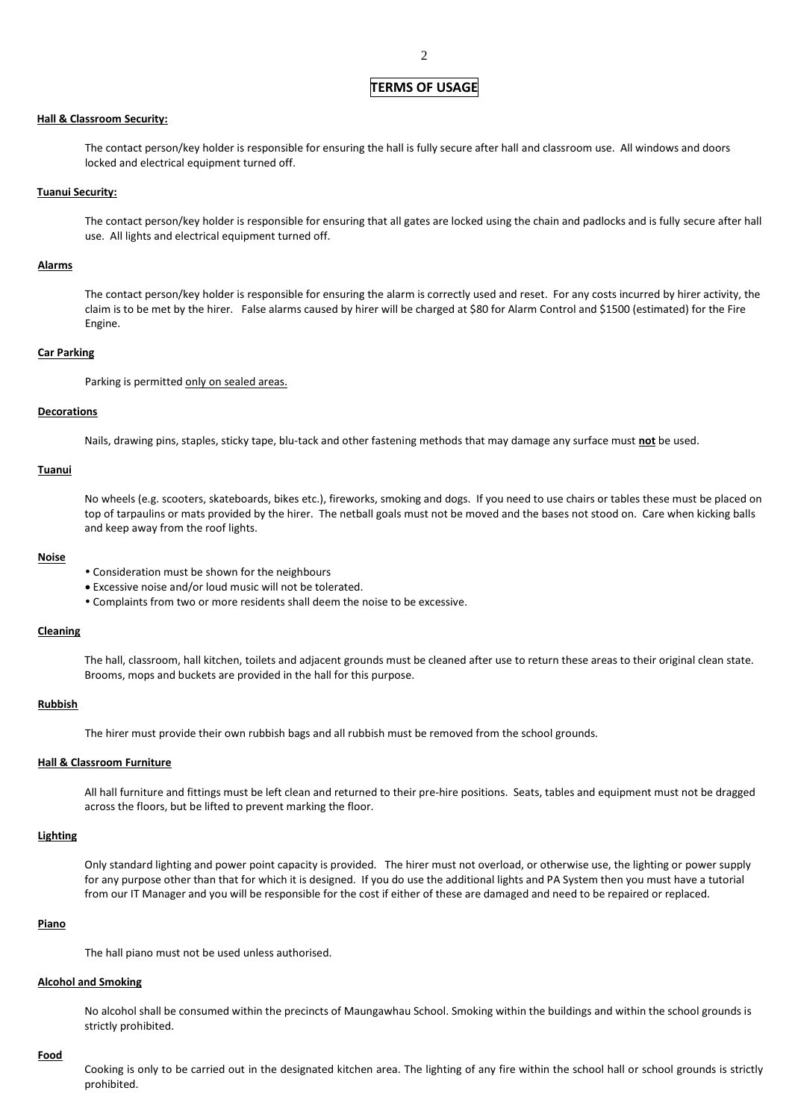## **TERMS OF USAGE**

## **Hall & Classroom Security:**

The contact person/key holder is responsible for ensuring the hall is fully secure after hall and classroom use. All windows and doors locked and electrical equipment turned off.

#### **Tuanui Security:**

The contact person/key holder is responsible for ensuring that all gates are locked using the chain and padlocks and is fully secure after hall use. All lights and electrical equipment turned off.

#### **Alarms**

The contact person/key holder is responsible for ensuring the alarm is correctly used and reset. For any costs incurred by hirer activity, the claim is to be met by the hirer. False alarms caused by hirer will be charged at \$80 for Alarm Control and \$1500 (estimated) for the Fire Engine.

#### **Car Parking**

Parking is permitted only on sealed areas.

## **Decorations**

Nails, drawing pins, staples, sticky tape, blu-tack and other fastening methods that may damage any surface must **not** be used.

## **Tuanui**

No wheels (e.g. scooters, skateboards, bikes etc.), fireworks, smoking and dogs. If you need to use chairs or tables these must be placed on top of tarpaulins or mats provided by the hirer. The netball goals must not be moved and the bases not stood on. Care when kicking balls and keep away from the roof lights.

#### **Noise**

- Consideration must be shown for the neighbours
- Excessive noise and/or loud music will not be tolerated.
- Complaints from two or more residents shall deem the noise to be excessive.

## **Cleaning**

The hall, classroom, hall kitchen, toilets and adjacent grounds must be cleaned after use to return these areas to their original clean state. Brooms, mops and buckets are provided in the hall for this purpose.

## **Rubbish**

The hirer must provide their own rubbish bags and all rubbish must be removed from the school grounds.

## **Hall & Classroom Furniture**

All hall furniture and fittings must be left clean and returned to their pre-hire positions. Seats, tables and equipment must not be dragged across the floors, but be lifted to prevent marking the floor.

## **Lighting**

Only standard lighting and power point capacity is provided. The hirer must not overload, or otherwise use, the lighting or power supply for any purpose other than that for which it is designed. If you do use the additional lights and PA System then you must have a tutorial from our IT Manager and you will be responsible for the cost if either of these are damaged and need to be repaired or replaced.

## **Piano**

The hall piano must not be used unless authorised.

## **Alcohol and Smoking**

No alcohol shall be consumed within the precincts of Maungawhau School. Smoking within the buildings and within the school grounds is strictly prohibited.

## **Food**

Cooking is only to be carried out in the designated kitchen area. The lighting of any fire within the school hall or school grounds is strictly prohibited.